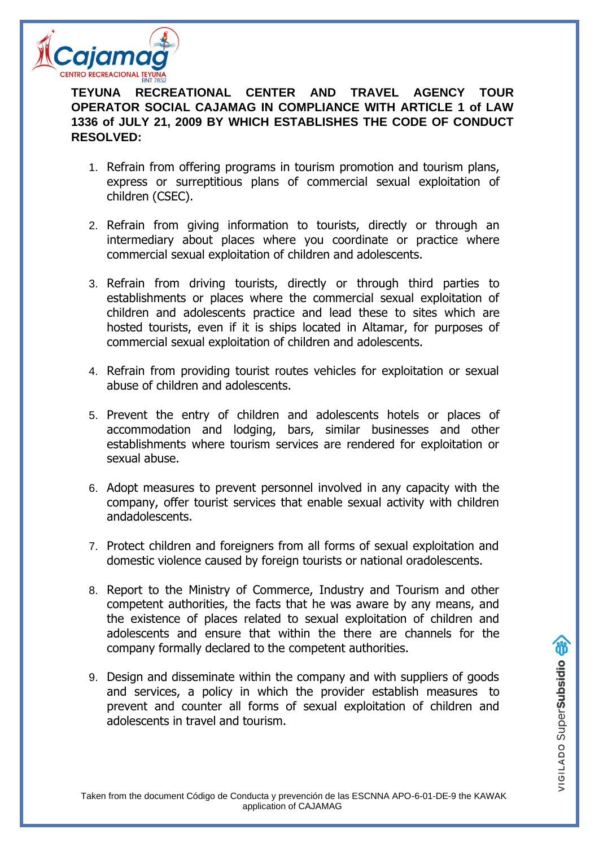

**TEYUNA RECREATIONAL CENTER AND TRAVEL AGENCY TOUR OPERATOR SOCIAL CAJAMAG IN COMPLIANCE WITH ARTICLE 1 of LAW 1336 of JULY 21, 2009 BY WHICH ESTABLISHES THE CODE OF CONDUCT RESOLVED:**

- 1. Refrain from offering programs in tourism promotion and tourism plans, express or surreptitious plans of commercial sexual exploitation of children (CSEC).
- 2. Refrain from giving information to tourists, directly or through an intermediary about places where you coordinate or practice where commercial sexual exploitation of children and adolescents.
- 3. Refrain from driving tourists, directly or through third parties to establishments or places where the commercial sexual exploitation of children and adolescents practice and lead these to sites which are hosted tourists, even if it is ships located in Altamar, for purposes of commercial sexual exploitation of children and adolescents.
- 4. Refrain from providing tourist routes vehicles for exploitation or sexual abuse of children and adolescents.
- 5. Prevent the entry of children and adolescents hotels or places of accommodation and lodging, bars, similar businesses and other establishments where tourism services are rendered for exploitation or sexual abuse.
- 6. Adopt measures to prevent personnel involved in any capacity with the company, offer tourist services that enable sexual activity with children andadolescents.
- 7. Protect children and foreigners from all forms of sexual exploitation and domestic violence caused by foreign tourists or national oradolescents.
- 8. Report to the Ministry of Commerce, Industry and Tourism and other competent authorities, the facts that he was aware by any means, and the existence of places related to sexual exploitation of children and adolescents and ensure that within the there are channels for the company formally declared to the competent authorities.
- 9. Design and disseminate within the company and with suppliers of goods and services, a policy in which the provider establish measures to prevent and counter all forms of sexual exploitation of children and adolescents in travel and tourism.